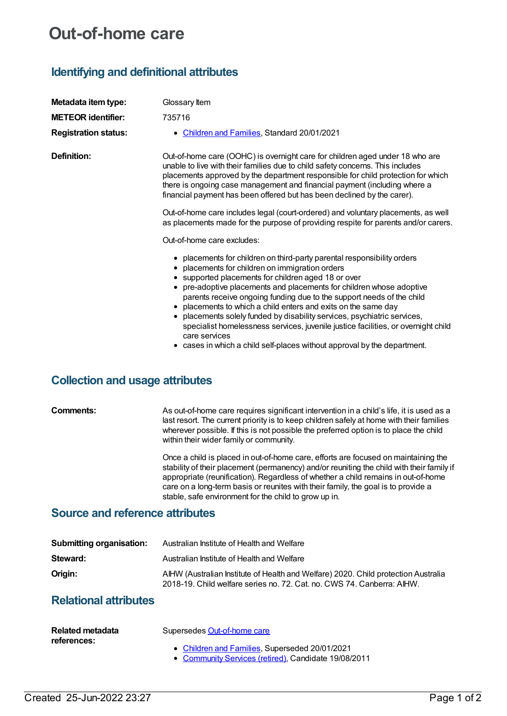# **Out-of-home care**

# **Identifying and definitional attributes**

| Metadata item type:                    | Glossary Item                                                                                                                                                                                                                                                                                                                                                                                                                                                                                                                                                                                                                                                    |
|----------------------------------------|------------------------------------------------------------------------------------------------------------------------------------------------------------------------------------------------------------------------------------------------------------------------------------------------------------------------------------------------------------------------------------------------------------------------------------------------------------------------------------------------------------------------------------------------------------------------------------------------------------------------------------------------------------------|
| <b>METEOR identifier:</b>              | 735716                                                                                                                                                                                                                                                                                                                                                                                                                                                                                                                                                                                                                                                           |
| <b>Registration status:</b>            | • Children and Families, Standard 20/01/2021                                                                                                                                                                                                                                                                                                                                                                                                                                                                                                                                                                                                                     |
| Definition:                            | Out-of-home care (OOHC) is overnight care for children aged under 18 who are<br>unable to live with their families due to child safety concerns. This includes<br>placements approved by the department responsible for child protection for which<br>there is ongoing case management and financial payment (including where a<br>financial payment has been offered but has been declined by the carer).                                                                                                                                                                                                                                                       |
|                                        | Out-of-home care includes legal (court-ordered) and voluntary placements, as well<br>as placements made for the purpose of providing respite for parents and/or carers.                                                                                                                                                                                                                                                                                                                                                                                                                                                                                          |
|                                        | Out-of-home care excludes:                                                                                                                                                                                                                                                                                                                                                                                                                                                                                                                                                                                                                                       |
|                                        | • placements for children on third-party parental responsibility orders<br>• placements for children on immigration orders<br>• supported placements for children aged 18 or over<br>• pre-adoptive placements and placements for children whose adoptive<br>parents receive ongoing funding due to the support needs of the child<br>• placements to which a child enters and exits on the same day<br>placements solely funded by disability services, psychiatric services,<br>specialist homelessness services, juvenile justice facilities, or overnight child<br>care services<br>• cases in which a child self-places without approval by the department. |
| <b>Collection and usage attributes</b> |                                                                                                                                                                                                                                                                                                                                                                                                                                                                                                                                                                                                                                                                  |
| Comments:                              | As out-of-home care requires significant intervention in a child's life, it is used as a                                                                                                                                                                                                                                                                                                                                                                                                                                                                                                                                                                         |

last resort. The current priority is to keep children safely at home with their families wherever possible. If this is not possible the preferred option is to place the child within their wider family or community.

Once a child is placed in out-of-home care, efforts are focused on maintaining the stability of their placement (permanency) and/or reuniting the child with their family if appropriate (reunification). Regardless of whether a child remains in out-of-home care on a long-term basis or reunites with their family, the goal is to provide a stable, safe environment for the child to grow up in.

### **Source and reference attributes**

| <b>Submitting organisation:</b> | Australian Institute of Health and Welfare                                                                                                                   |
|---------------------------------|--------------------------------------------------------------------------------------------------------------------------------------------------------------|
| Steward:                        | Australian Institute of Health and Welfare                                                                                                                   |
| Origin:                         | AIHW (Australian Institute of Health and Welfare) 2020. Child protection Australia<br>2018-19. Child welfare series no. 72. Cat. no. CWS 74. Canberra: AIHW. |

## **Relational attributes**

| Related metadata<br>references: | Supersedes Out-of-home care                                                                            |
|---------------------------------|--------------------------------------------------------------------------------------------------------|
|                                 | • Children and Families, Superseded 20/01/2021<br>• Community Services (retired), Candidate 19/08/2011 |